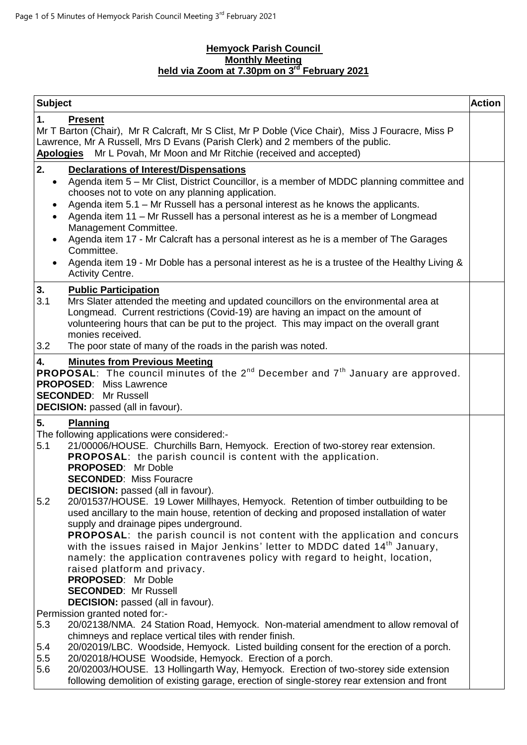#### **Hemyock Parish Council Monthly Meeting held via Zoom at 7.30pm on 3 rd February 2021**

| <b>Subject</b>                                                                                                                                                                                                                                                                                                                                                                                                                                                                                                                                                                                                                                                                                                                                                                                                                                                                                                                                                                     | <b>Action</b> |
|------------------------------------------------------------------------------------------------------------------------------------------------------------------------------------------------------------------------------------------------------------------------------------------------------------------------------------------------------------------------------------------------------------------------------------------------------------------------------------------------------------------------------------------------------------------------------------------------------------------------------------------------------------------------------------------------------------------------------------------------------------------------------------------------------------------------------------------------------------------------------------------------------------------------------------------------------------------------------------|---------------|
| <b>Present</b><br>1.<br>Mr T Barton (Chair), Mr R Calcraft, Mr S Clist, Mr P Doble (Vice Chair), Miss J Fouracre, Miss P<br>Lawrence, Mr A Russell, Mrs D Evans (Parish Clerk) and 2 members of the public.<br>Mr L Povah, Mr Moon and Mr Ritchie (received and accepted)<br><u>Apologies</u>                                                                                                                                                                                                                                                                                                                                                                                                                                                                                                                                                                                                                                                                                      |               |
| 2.<br><b>Declarations of Interest/Dispensations</b><br>Agenda item 5 - Mr Clist, District Councillor, is a member of MDDC planning committee and<br>$\bullet$<br>chooses not to vote on any planning application.<br>Agenda item 5.1 - Mr Russell has a personal interest as he knows the applicants.<br>Agenda item 11 - Mr Russell has a personal interest as he is a member of Longmead<br>$\bullet$<br>Management Committee.<br>Agenda item 17 - Mr Calcraft has a personal interest as he is a member of The Garages<br>Committee.<br>Agenda item 19 - Mr Doble has a personal interest as he is a trustee of the Healthy Living &<br><b>Activity Centre.</b>                                                                                                                                                                                                                                                                                                                 |               |
| 3.<br><b>Public Participation</b><br>3.1<br>Mrs Slater attended the meeting and updated councillors on the environmental area at<br>Longmead. Current restrictions (Covid-19) are having an impact on the amount of<br>volunteering hours that can be put to the project. This may impact on the overall grant<br>monies received.<br>3.2<br>The poor state of many of the roads in the parish was noted.                                                                                                                                                                                                                                                                                                                                                                                                                                                                                                                                                                          |               |
| 4.<br><b>Minutes from Previous Meeting</b><br><b>PROPOSAL:</b> The council minutes of the $2^{nd}$ December and $7^{th}$ January are approved.<br><b>PROPOSED:</b> Miss Lawrence<br><b>SECONDED:</b> Mr Russell<br><b>DECISION:</b> passed (all in favour).                                                                                                                                                                                                                                                                                                                                                                                                                                                                                                                                                                                                                                                                                                                        |               |
| 5.<br><b>Planning</b><br>The following applications were considered:-<br>21/00006/HOUSE. Churchills Barn, Hemyock. Erection of two-storey rear extension.<br>5.1<br><b>PROPOSAL:</b> the parish council is content with the application.<br><b>PROPOSED: Mr Doble</b><br><b>SECONDED: Miss Fouracre</b><br><b>DECISION:</b> passed (all in favour).<br>5.2<br>20/01537/HOUSE. 19 Lower Millhayes, Hemyock. Retention of timber outbuilding to be<br>used ancillary to the main house, retention of decking and proposed installation of water<br>supply and drainage pipes underground.<br>PROPOSAL: the parish council is not content with the application and concurs<br>with the issues raised in Major Jenkins' letter to MDDC dated 14 <sup>th</sup> January,<br>namely: the application contravenes policy with regard to height, location,<br>raised platform and privacy.<br>PROPOSED: Mr Doble<br><b>SECONDED: Mr Russell</b><br><b>DECISION:</b> passed (all in favour). |               |
| Permission granted noted for:-<br>20/02138/NMA. 24 Station Road, Hemyock. Non-material amendment to allow removal of<br>5.3<br>chimneys and replace vertical tiles with render finish.<br>20/02019/LBC. Woodside, Hemyock. Listed building consent for the erection of a porch.<br>5.4<br>5.5<br>20/02018/HOUSE Woodside, Hemyock. Erection of a porch.<br>5.6<br>20/02003/HOUSE. 13 Hollingarth Way, Hemyock. Erection of two-storey side extension<br>following demolition of existing garage, erection of single-storey rear extension and front                                                                                                                                                                                                                                                                                                                                                                                                                                |               |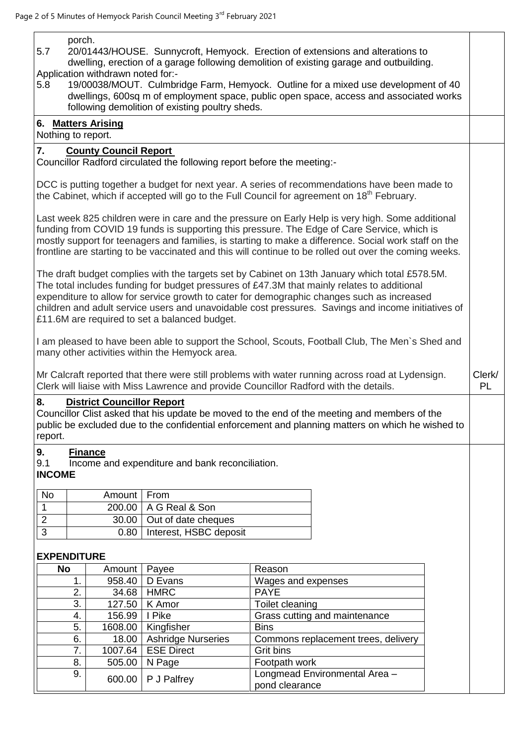porch.

- 5.7 20/01443/HOUSE. Sunnycroft, Hemyock. Erection of extensions and alterations to dwelling, erection of a garage following demolition of existing garage and outbuilding. Application withdrawn noted for:-
- 5.8 19/00038/MOUT. Culmbridge Farm, Hemyock. Outline for a mixed use development of 40 dwellings, 600sq m of employment space, public open space, access and associated works following demolition of existing poultry sheds.

# **6. Matters Arising**

#### Nothing to report.

## **7. County Council Report**

Councillor Radford circulated the following report before the meeting:-

DCC is putting together a budget for next year. A series of recommendations have been made to the Cabinet, which if accepted will go to the Full Council for agreement on  $18<sup>th</sup>$  February.

Last week 825 children were in care and the pressure on Early Help is very high. Some additional funding from COVID 19 funds is supporting this pressure. The Edge of Care Service, which is mostly support for teenagers and families, is starting to make a difference. Social work staff on the frontline are starting to be vaccinated and this will continue to be rolled out over the coming weeks.

The draft budget complies with the targets set by Cabinet on 13th January which total £578.5M. The total includes funding for budget pressures of £47.3M that mainly relates to additional expenditure to allow for service growth to cater for demographic changes such as increased children and adult service users and unavoidable cost pressures. Savings and income initiatives of £11.6M are required to set a balanced budget.

I am pleased to have been able to support the School, Scouts, Football Club, The Men`s Shed and many other activities within the Hemyock area.

> Clerk/ PL

Mr Calcraft reported that there were still problems with water running across road at Lydensign. Clerk will liaise with Miss Lawrence and provide Councillor Radford with the details.

### **8. District Councillor Report**

Councillor Clist asked that his update be moved to the end of the meeting and members of the public be excluded due to the confidential enforcement and planning matters on which he wished to report.

### **9. Finance**

9.1 Income and expenditure and bank reconciliation.

### **INCOME**

| No | Amount   From |                               |
|----|---------------|-------------------------------|
|    |               | 200.00   A G Real & Son       |
|    |               | 30.00   Out of date cheques   |
|    |               | 0.80   Interest, HSBC deposit |

### **EXPENDITURE**

| <b>No</b> | Amount  | Payee                     | Reason                                          |
|-----------|---------|---------------------------|-------------------------------------------------|
|           | 958.40  | D Evans                   | Wages and expenses                              |
| 2.        | 34.68   | <b>HMRC</b>               | <b>PAYE</b>                                     |
| 3.        | 127.50  | K Amor                    | Toilet cleaning                                 |
| 4.        | 156.99  | I Pike                    | Grass cutting and maintenance                   |
| 5.        | 1608.00 | Kingfisher                | <b>Bins</b>                                     |
| 6.        | 18.00   | <b>Ashridge Nurseries</b> | Commons replacement trees, delivery             |
| 7.        | 1007.64 | <b>ESE Direct</b>         | Grit bins                                       |
| 8.        | 505.00  | N Page                    | Footpath work                                   |
| 9.        |         | 600.00   P J Palfrey      | Longmead Environmental Area -<br>pond clearance |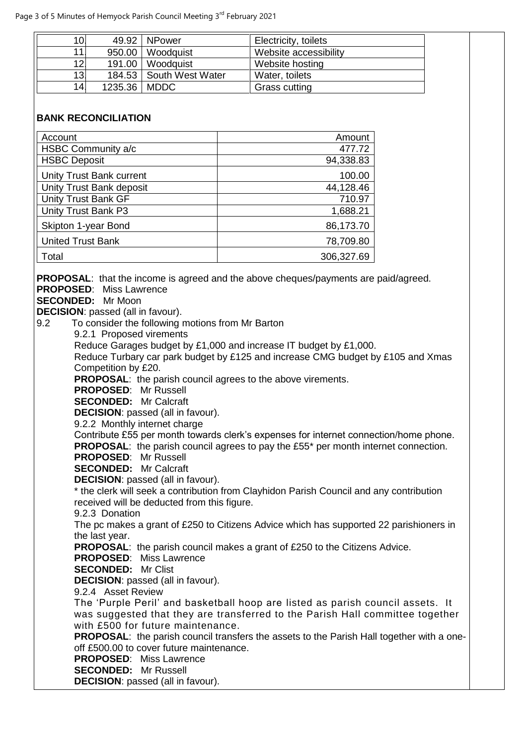| 10.  |                | 49.92   NPower          | Electricity, toilets  |
|------|----------------|-------------------------|-----------------------|
| 11 I | 950.00         | Woodquist               | Website accessibility |
| 12.  |                | 191.00   Woodquist      | Website hosting       |
| 13.  |                | 184.53 South West Water | Water, toilets        |
| 14.  | 1235.36   MDDC |                         | Grass cutting         |

#### **BANK RECONCILIATION**

| Account                  | Amount     |
|--------------------------|------------|
| HSBC Community a/c       | 477.72     |
| <b>HSBC Deposit</b>      | 94,338.83  |
| Unity Trust Bank current | 100.00     |
| Unity Trust Bank deposit | 44,128.46  |
| Unity Trust Bank GF      | 710.97     |
| Unity Trust Bank P3      | 1,688.21   |
| Skipton 1-year Bond      | 86,173.70  |
| <b>United Trust Bank</b> | 78,709.80  |
| Total                    | 306,327.69 |

**PROPOSAL:** that the income is agreed and the above cheques/payments are paid/agreed.

**PROPOSED**: Miss Lawrence

**SECONDED:** Mr Moon

**DECISION**: passed (all in favour).

9.2 To consider the following motions from Mr Barton

9.2.1 Proposed virements

Reduce Garages budget by £1,000 and increase IT budget by £1,000.

Reduce Turbary car park budget by £125 and increase CMG budget by £105 and Xmas Competition by £20.

**PROPOSAL**: the parish council agrees to the above virements.

**PROPOSED**: Mr Russell

**SECONDED:** Mr Calcraft

**DECISION**: passed (all in favour).

9.2.2 Monthly internet charge

Contribute £55 per month towards clerk's expenses for internet connection/home phone. **PROPOSAL:** the parish council agrees to pay the £55<sup>\*</sup> per month internet connection.

**PROPOSED**: Mr Russell

**SECONDED:** Mr Calcraft

**DECISION**: passed (all in favour).

\* the clerk will seek a contribution from Clayhidon Parish Council and any contribution received will be deducted from this figure.

9.2.3 Donation

The pc makes a grant of £250 to Citizens Advice which has supported 22 parishioners in the last year.

**PROPOSAL:** the parish council makes a grant of £250 to the Citizens Advice.

**PROPOSED**: Miss Lawrence

**SECONDED:** Mr Clist

**DECISION**: passed (all in favour).

9.2.4 Asset Review

The 'Purple Peril' and basketball hoop are listed as parish council assets. It was suggested that they are transferred to the Parish Hall committee together with £500 for future maintenance.

**PROPOSAL:** the parish council transfers the assets to the Parish Hall together with a oneoff £500.00 to cover future maintenance.

**PROPOSED**: Miss Lawrence

**SECONDED:** Mr Russell

**DECISION**: passed (all in favour).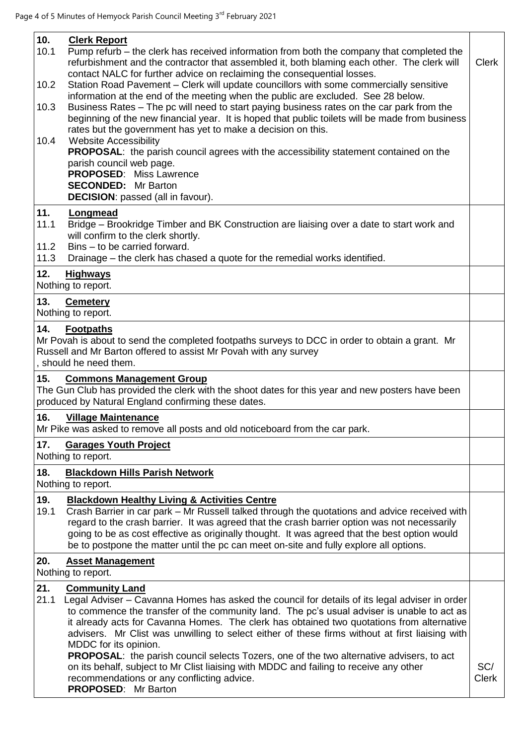| 10.<br>10.1<br>10.2<br>10.3<br>10.4 | <b>Clerk Report</b><br>Pump refurb – the clerk has received information from both the company that completed the<br>refurbishment and the contractor that assembled it, both blaming each other. The clerk will<br>contact NALC for further advice on reclaiming the consequential losses.<br>Station Road Pavement - Clerk will update councillors with some commercially sensitive<br>information at the end of the meeting when the public are excluded. See 28 below.<br>Business Rates - The pc will need to start paying business rates on the car park from the<br>beginning of the new financial year. It is hoped that public toilets will be made from business<br>rates but the government has yet to make a decision on this.<br><b>Website Accessibility</b><br><b>PROPOSAL:</b> the parish council agrees with the accessibility statement contained on the<br>parish council web page.<br><b>PROPOSED:</b> Miss Lawrence<br><b>SECONDED:</b> Mr Barton<br><b>DECISION:</b> passed (all in favour). | <b>Clerk</b>        |
|-------------------------------------|-------------------------------------------------------------------------------------------------------------------------------------------------------------------------------------------------------------------------------------------------------------------------------------------------------------------------------------------------------------------------------------------------------------------------------------------------------------------------------------------------------------------------------------------------------------------------------------------------------------------------------------------------------------------------------------------------------------------------------------------------------------------------------------------------------------------------------------------------------------------------------------------------------------------------------------------------------------------------------------------------------------------|---------------------|
| 11.<br>11.1<br>11.2<br>11.3<br>12.  | Longmead<br>Bridge - Brookridge Timber and BK Construction are liaising over a date to start work and<br>will confirm to the clerk shortly.<br>Bins - to be carried forward.<br>Drainage – the clerk has chased a quote for the remedial works identified.<br><b>Highways</b>                                                                                                                                                                                                                                                                                                                                                                                                                                                                                                                                                                                                                                                                                                                                     |                     |
|                                     | Nothing to report.                                                                                                                                                                                                                                                                                                                                                                                                                                                                                                                                                                                                                                                                                                                                                                                                                                                                                                                                                                                                |                     |
| 13.                                 | <b>Cemetery</b><br>Nothing to report.                                                                                                                                                                                                                                                                                                                                                                                                                                                                                                                                                                                                                                                                                                                                                                                                                                                                                                                                                                             |                     |
| 14.                                 | <b>Footpaths</b><br>Mr Povah is about to send the completed footpaths surveys to DCC in order to obtain a grant. Mr<br>Russell and Mr Barton offered to assist Mr Povah with any survey<br>, should he need them.                                                                                                                                                                                                                                                                                                                                                                                                                                                                                                                                                                                                                                                                                                                                                                                                 |                     |
| 15.                                 | <b>Commons Management Group</b><br>The Gun Club has provided the clerk with the shoot dates for this year and new posters have been<br>produced by Natural England confirming these dates.                                                                                                                                                                                                                                                                                                                                                                                                                                                                                                                                                                                                                                                                                                                                                                                                                        |                     |
| 16.                                 | <b>Village Maintenance</b><br>Mr Pike was asked to remove all posts and old noticeboard from the car park.                                                                                                                                                                                                                                                                                                                                                                                                                                                                                                                                                                                                                                                                                                                                                                                                                                                                                                        |                     |
| 17.                                 | <b>Garages Youth Project</b><br>Nothing to report.                                                                                                                                                                                                                                                                                                                                                                                                                                                                                                                                                                                                                                                                                                                                                                                                                                                                                                                                                                |                     |
| 18.                                 | <b>Blackdown Hills Parish Network</b><br>Nothing to report.                                                                                                                                                                                                                                                                                                                                                                                                                                                                                                                                                                                                                                                                                                                                                                                                                                                                                                                                                       |                     |
| 19.<br>19.1                         | <b>Blackdown Healthy Living &amp; Activities Centre</b><br>Crash Barrier in car park - Mr Russell talked through the quotations and advice received with<br>regard to the crash barrier. It was agreed that the crash barrier option was not necessarily<br>going to be as cost effective as originally thought. It was agreed that the best option would<br>be to postpone the matter until the pc can meet on-site and fully explore all options.                                                                                                                                                                                                                                                                                                                                                                                                                                                                                                                                                               |                     |
| 20.                                 | <b>Asset Management</b><br>Nothing to report.                                                                                                                                                                                                                                                                                                                                                                                                                                                                                                                                                                                                                                                                                                                                                                                                                                                                                                                                                                     |                     |
| 21.<br>21.1                         | <b>Community Land</b><br>Legal Adviser – Cavanna Homes has asked the council for details of its legal adviser in order<br>to commence the transfer of the community land. The pc's usual adviser is unable to act as<br>it already acts for Cavanna Homes. The clerk has obtained two quotations from alternative<br>advisers. Mr Clist was unwilling to select either of these firms without at first liaising with<br>MDDC for its opinion.<br><b>PROPOSAL:</b> the parish council selects Tozers, one of the two alternative advisers, to act<br>on its behalf, subject to Mr Clist liaising with MDDC and failing to receive any other<br>recommendations or any conflicting advice.<br><b>PROPOSED:</b> Mr Barton                                                                                                                                                                                                                                                                                            | SC/<br><b>Clerk</b> |